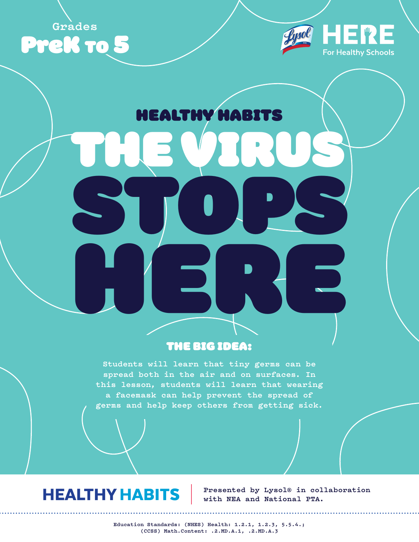



# HEALTHY HABITS

THE VIRUS

STOPS

# THE BIG IDEA:

HERE.

**Students will learn that tiny germs can be spread both in the air and on surfaces. In this lesson, students will learn that wearing a facemask can help prevent the spread of germs and help keep others from getting sick.**

# **HEALTHY HABITS**

**Presented by Lysol® in collaboration with NEA and National PTA.**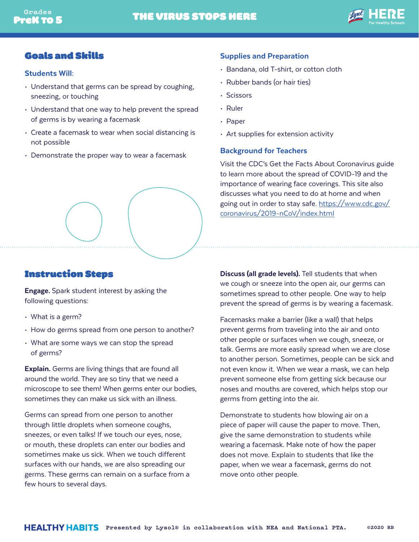

## Goals and Skills

### Students Will:

- Understand that germs can be spread by coughing, sneezing, or touching
- Understand that one way to help prevent the spread of germs is by wearing a facemask
- Create a facemask to wear when social distancing is not possible
- Demonstrate the proper way to wear a facemask

### Supplies and Preparation

- Bandana, old T-shirt, or cotton cloth
- Rubber bands (or hair ties)
- Scissors
- Ruler
- Paper
- Art supplies for extension activity

### Background for Teachers

Visit the CDC's Get the Facts About Coronavirus guide to learn more about the spread of COVID-19 and the importance of wearing face coverings. This site also discusses what you need to do at home and when going out in order to stay safe. [https://www.cdc.gov/](https://www.cdc.gov/coronavirus/2019-nCoV/index.html) [coronavirus/2019-nCoV/index.html](https://www.cdc.gov/coronavirus/2019-nCoV/index.html)



# Instruction Steps

**Engage.** Spark student interest by asking the following questions:

- What is a germ?
- How do germs spread from one person to another?
- What are some ways we can stop the spread of germs?

Explain. Germs are living things that are found all around the world. They are so tiny that we need a microscope to see them! When germs enter our bodies, sometimes they can make us sick with an illness.

Germs can spread from one person to another through little droplets when someone coughs, sneezes, or even talks! If we touch our eyes, nose, or mouth, these droplets can enter our bodies and sometimes make us sick. When we touch different surfaces with our hands, we are also spreading our germs. These germs can remain on a surface from a few hours to several days.

Discuss (all grade levels). Tell students that when we cough or sneeze into the open air, our germs can sometimes spread to other people. One way to help prevent the spread of germs is by wearing a facemask.

Facemasks make a barrier (like a wall) that helps prevent germs from traveling into the air and onto other people or surfaces when we cough, sneeze, or talk. Germs are more easily spread when we are close to another person. Sometimes, people can be sick and not even know it. When we wear a mask, we can help prevent someone else from getting sick because our noses and mouths are covered, which helps stop our germs from getting into the air.

Demonstrate to students how blowing air on a piece of paper will cause the paper to move. Then, give the same demonstration to students while wearing a facemask. Make note of how the paper does not move. Explain to students that like the paper, when we wear a facemask, germs do not move onto other people.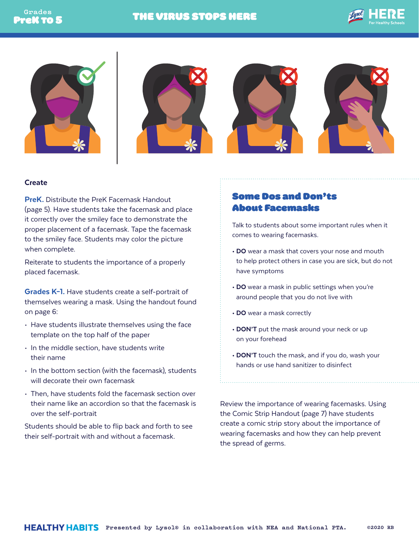







### **Create**

PreK. Distribute the PreK Facemask Handout (page 5). Have students take the facemask and place it correctly over the smiley face to demonstrate the proper placement of a facemask. Tape the facemask to the smiley face. Students may color the picture when complete.

Reiterate to students the importance of a properly placed facemask.

Grades K-1. Have students create a self-portrait of themselves wearing a mask. Using the handout found on page 6:

- Have students illustrate themselves using the face template on the top half of the paper
- In the middle section, have students write their name
- In the bottom section (with the facemask), students will decorate their own facemask
- Then, have students fold the facemask section over their name like an accordion so that the facemask is over the self-portrait

Students should be able to flip back and forth to see their self-portrait with and without a facemask.

# Some Dos and Don'ts About Facemasks

Talk to students about some important rules when it comes to wearing facemasks.

- DO wear a mask that covers your nose and mouth to help protect others in case you are sick, but do not have symptoms
- DO wear a mask in public settings when you're around people that you do not live with
- DO wear a mask correctly
- DON'T put the mask around your neck or up on your forehead
- DON'T touch the mask, and if you do, wash your hands or use hand sanitizer to disinfect

Review the importance of wearing facemasks. Using the Comic Strip Handout (page 7) have students create a comic strip story about the importance of wearing facemasks and how they can help prevent the spread of germs.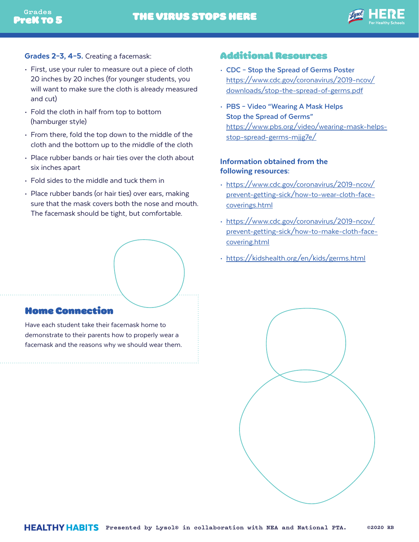

- Grades 2-3, 4-5. Creating a facemask:
- First, use your ruler to measure out a piece of cloth 20 inches by 20 inches (for younger students, you will want to make sure the cloth is already measured and cut)
- Fold the cloth in half from top to bottom (hamburger style)
- From there, fold the top down to the middle of the cloth and the bottom up to the middle of the cloth
- Place rubber bands or hair ties over the cloth about six inches apart
- Fold sides to the middle and tuck them in
- Place rubber bands (or hair ties) over ears, making sure that the mask covers both the nose and mouth. The facemask should be tight, but comfortable.

# Home Connection

Have each student take their facemask home to demonstrate to their parents how to properly wear a facemask and the reasons why we should wear them.

### Additional Resources

- **CDC Stop the Spread of Germs Poster** [https://www.cdc.gov/coronavirus/2019-ncov/](https://www.cdc.gov/coronavirus/2019-ncov/downloads/stop-the-spread-of-germs.pdf) [downloads/stop-the-spread-of-germs.pdf](https://www.cdc.gov/coronavirus/2019-ncov/downloads/stop-the-spread-of-germs.pdf)
- **PBS Video "Wearing A Mask Helps Stop the Spread of Germs"**  [https://www.pbs.org/video/wearing-mask-helps](https://www.pbs.org/video/wearing-mask-helps-stop-spread-germs-mjjg7e/)[stop-spread-germs-mjjg7e/](https://www.pbs.org/video/wearing-mask-helps-stop-spread-germs-mjjg7e/)

### Information obtained from the following resources:

- [https://www.cdc.gov/coronavirus/2019-ncov/](https://www.cdc.gov/coronavirus/2019-ncov/prevent-getting-sick/how-to-wear-cloth-face-coverings.html) [prevent-getting-sick/how-to-wear-cloth-face](https://www.cdc.gov/coronavirus/2019-ncov/prevent-getting-sick/how-to-wear-cloth-face-coverings.html)[coverings.html](https://www.cdc.gov/coronavirus/2019-ncov/prevent-getting-sick/how-to-wear-cloth-face-coverings.html)
- [https://www.cdc.gov/coronavirus/2019-ncov/](https://www.cdc.gov/coronavirus/2019-ncov/prevent-getting-sick/how-to-make-cloth-face-covering.html) [prevent-getting-sick/how-to-make-cloth-face](https://www.cdc.gov/coronavirus/2019-ncov/prevent-getting-sick/how-to-make-cloth-face-covering.html)[covering.html](https://www.cdc.gov/coronavirus/2019-ncov/prevent-getting-sick/how-to-make-cloth-face-covering.html)
- <https://kidshealth.org/en/kids/germs.html>

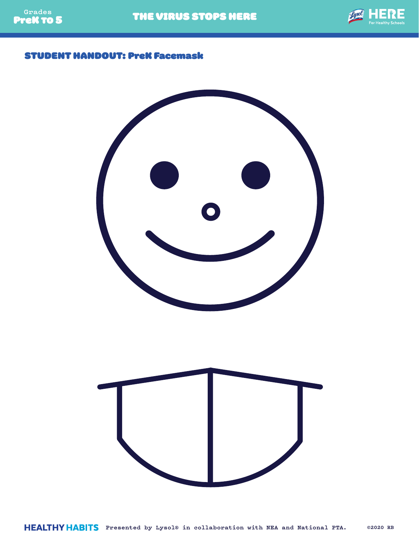

## STUDENT HANDOUT: PreK Facemask

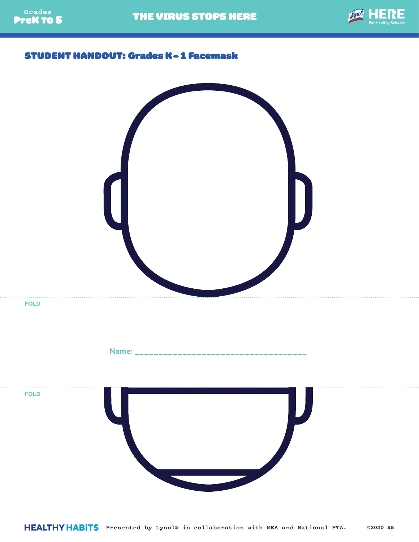

THE VIRUS STOPS HERE



## STUDENT HANDOUT: Grades K-1 Facemask

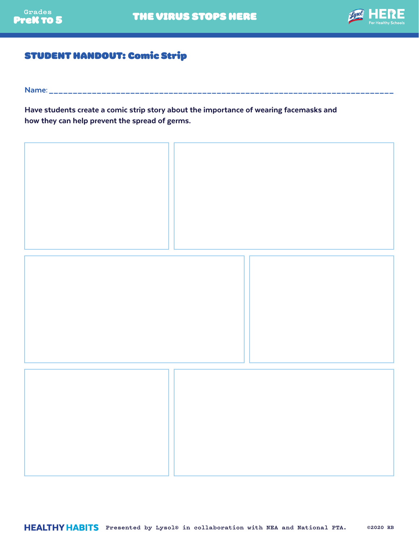

# STUDENT HANDOUT: Comic Strip

Name: \_\_\_\_\_\_\_\_\_\_\_\_\_\_\_\_\_\_\_\_\_\_\_\_\_\_\_\_\_\_\_\_\_\_\_\_\_\_\_\_\_\_\_\_\_\_\_\_\_\_\_\_\_\_\_\_\_\_\_\_\_\_\_\_\_\_\_\_\_\_\_\_

Have students create a comic strip story about the importance of wearing facemasks and how they can help prevent the spread of germs.



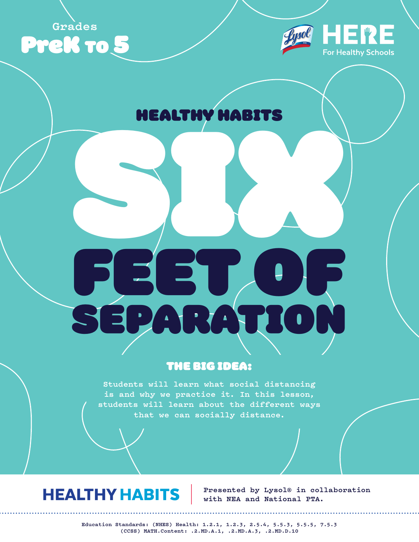**Grades**





# HEALTHY HABITS

# SIX N FEET OF SEPARATION

# THE BIG IDEA:

**Students will learn what social distancing is and why we practice it. In this lesson, students will learn about the different ways that we can socially distance.**

# **HEALTHY HABITS**

**Presented by Lysol® in collaboration with NEA and National PTA.**

**Education Standards: (NHES) Health: 1.2.1, 1.2.3, 2.5.4, 5.5.3, 5.5.5, 7.5.3 (CCSS) MATH.Content: .2.MD.A.1, .2.MD.A.3, .2.MD.D.10**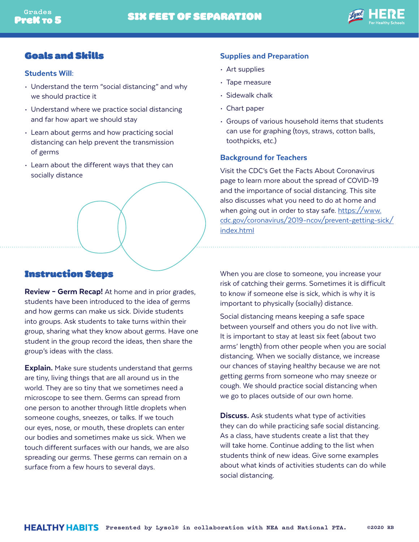

## Goals and Skills

### Students Will:

- Understand the term "social distancing" and why we should practice it
- Understand where we practice social distancing and far how apart we should stay
- Learn about germs and how practicing social distancing can help prevent the transmission of germs
- Learn about the different ways that they can socially distance

## Instruction Steps

**Review - Germ Recap!** At home and in prior grades, students have been introduced to the idea of germs and how germs can make us sick. Divide students into groups. Ask students to take turns within their group, sharing what they know about germs. Have one student in the group record the ideas, then share the group's ideas with the class.

**Explain.** Make sure students understand that germs are tiny, living things that are all around us in the world. They are so tiny that we sometimes need a microscope to see them. Germs can spread from one person to another through little droplets when someone coughs, sneezes, or talks. If we touch our eyes, nose, or mouth, these droplets can enter our bodies and sometimes make us sick. When we touch different surfaces with our hands, we are also spreading our germs. These germs can remain on a surface from a few hours to several days.

### Supplies and Preparation

- Art supplies
- Tape measure
- Sidewalk chalk
- Chart paper
- Groups of various household items that students can use for graphing (toys, straws, cotton balls, toothpicks, etc.)

### Background for Teachers

Visit the CDC's Get the Facts About Coronavirus page to learn more about the spread of COVID-19 and the importance of social distancing. This site also discusses what you need to do at home and when going out in order to stay safe. [https://www.](https://www.cdc.gov/coronavirus/2019-ncov/prevent-getting-sick/index.html) [cdc.gov/coronavirus/2019-ncov/prevent-getting-sick/](https://www.cdc.gov/coronavirus/2019-ncov/prevent-getting-sick/index.html) [index.html](https://www.cdc.gov/coronavirus/2019-ncov/prevent-getting-sick/index.html)

When you are close to someone, you increase your risk of catching their germs. Sometimes it is difficult to know if someone else is sick, which is why it is important to physically (socially) distance.

Social distancing means keeping a safe space between yourself and others you do not live with. It is important to stay at least six feet (about two arms' length) from other people when you are social distancing. When we socially distance, we increase our chances of staying healthy because we are not getting germs from someone who may sneeze or cough. We should practice social distancing when we go to places outside of our own home.

**Discuss.** Ask students what type of activities they can do while practicing safe social distancing. As a class, have students create a list that they will take home. Continue adding to the list when students think of new ideas. Give some examples about what kinds of activities students can do while social distancing.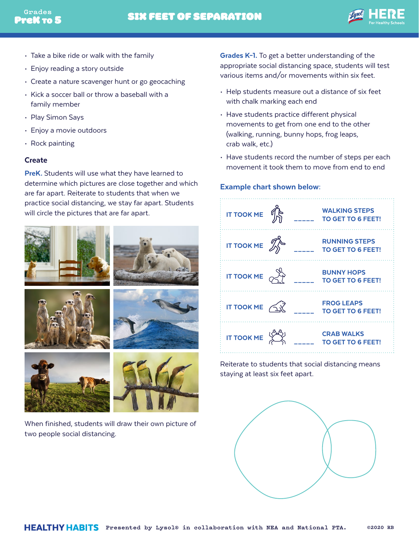

- Take a bike ride or walk with the family
- Enjoy reading a story outside
- Create a nature scavenger hunt or go geocaching
- Kick a soccer ball or throw a baseball with a family member
- Play Simon Says
- Enjoy a movie outdoors
- Rock painting

#### Create

PreK. Students will use what they have learned to determine which pictures are close together and which are far apart. Reiterate to students that when we practice social distancing, we stay far apart. Students will circle the pictures that are far apart.



When finished, students will draw their own picture of two people social distancing.

Grades K-1. To get a better understanding of the appropriate social distancing space, students will test various items and/or movements within six feet.

- Help students measure out a distance of six feet with chalk marking each end
- Have students practice different physical movements to get from one end to the other (walking, running, bunny hops, frog leaps, crab walk, etc.)
- Have students record the number of steps per each movement it took them to move from end to end

### Example chart shown below:



Reiterate to students that social distancing means staying at least six feet apart.